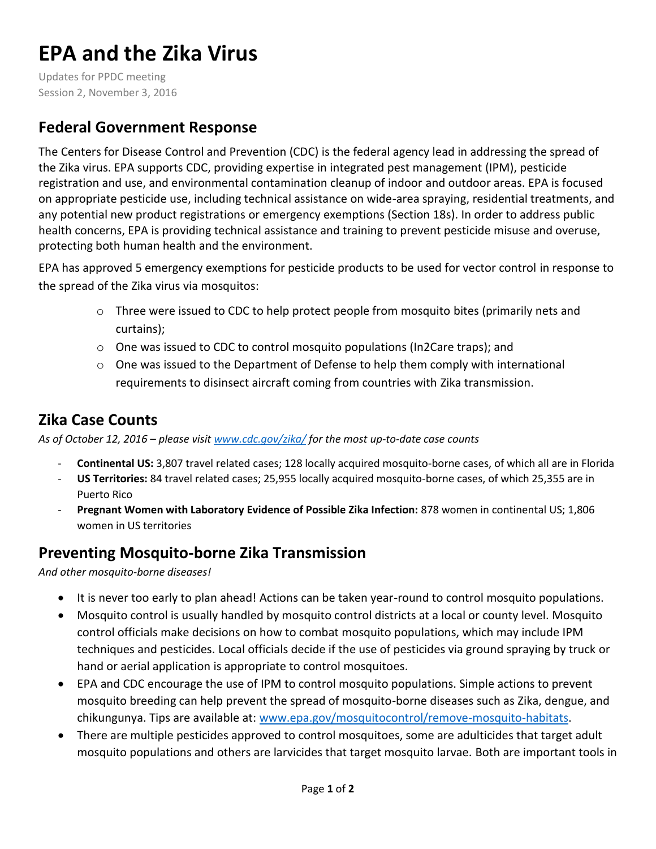# **EPA and the Zika Virus**

Updates for PPDC meeting Session 2, November 3, 2016

# **Federal Government Response**

The Centers for Disease Control and Prevention (CDC) is the federal agency lead in addressing the spread of the Zika virus. EPA supports CDC, providing expertise in integrated pest management (IPM), pesticide registration and use, and environmental contamination cleanup of indoor and outdoor areas. EPA is focused on appropriate pesticide use, including technical assistance on wide-area spraying, residential treatments, and any potential new product registrations or emergency exemptions (Section 18s). In order to address public health concerns, EPA is providing technical assistance and training to prevent pesticide misuse and overuse, protecting both human health and the environment.

EPA has approved 5 emergency exemptions for pesticide products to be used for vector control in response to the spread of the Zika virus via mosquitos:

- $\circ$  Three were issued to CDC to help protect people from mosquito bites (primarily nets and curtains);
- o One was issued to CDC to control mosquito populations (In2Care traps); and
- o One was issued to the Department of Defense to help them comply with international requirements to disinsect aircraft coming from countries with Zika transmission.

# **Zika Case Counts**

*As of October 12, 2016 – please visi[t www.cdc.gov/zika/](http://www.cdc.gov/zika/) for the most up-to-date case counts* 

- **Continental US:** 3,807 travel related cases; 128 locally acquired mosquito-borne cases, of which all are in Florida
- **US Territories:** 84 travel related cases; 25,955 locally acquired mosquito-borne cases, of which 25,355 are in Puerto Rico
- **Pregnant Women with Laboratory Evidence of Possible Zika Infection:** 878 women in continental US; 1,806 women in US territories

# **Preventing Mosquito-borne Zika Transmission**

*And other mosquito-borne diseases!* 

- It is never too early to plan ahead! Actions can be taken year-round to control mosquito populations.
- Mosquito control is usually handled by mosquito control districts at a local or county level. Mosquito control officials make decisions on how to combat mosquito populations, which may include IPM techniques and pesticides. Local officials decide if the use of pesticides via ground spraying by truck or hand or aerial application is appropriate to control mosquitoes.
- EPA and CDC encourage the use of IPM to control mosquito populations. Simple actions to prevent mosquito breeding can help prevent the spread of mosquito-borne diseases such as Zika, dengue, and chikungunya. Tips are available at: [www.epa.gov/mosquitocontrol/remove-mosquito-habitats.](http://www.epa.gov/mosquitocontrol/remove-mosquito-habitats)
- There are multiple pesticides approved to control mosquitoes, some are adulticides that target adult mosquito populations and others are larvicides that target mosquito larvae. Both are important tools in